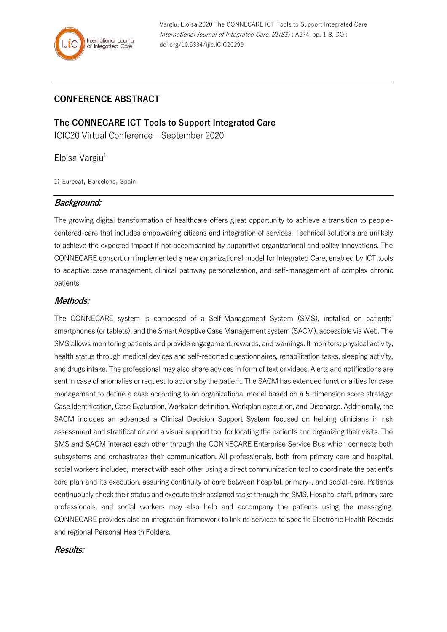# **CONFERENCE ABSTRACT**

**The CONNECARE ICT Tools to Support Integrated Care** ICIC20 Virtual Conference – September 2020

Eloisa Vargiu $1$ 

1: Eurecat, Barcelona, Spain

## **Background:**

The growing digital transformation of healthcare offers great opportunity to achieve a transition to peoplecentered-care that includes empowering citizens and integration of services. Technical solutions are unlikely to achieve the expected impact if not accompanied by supportive organizational and policy innovations. The CONNECARE consortium implemented a new organizational model for Integrated Care, enabled by ICT tools to adaptive case management, clinical pathway personalization, and self-management of complex chronic patients.

### **Methods:**

The CONNECARE system is composed of a Self-Management System (SMS), installed on patients' smartphones (or tablets), and the Smart Adaptive Case Management system (SACM), accessible via Web. The SMS allows monitoring patients and provide engagement, rewards, and warnings. It monitors: physical activity, health status through medical devices and self-reported questionnaires, rehabilitation tasks, sleeping activity, and drugs intake. The professional may also share advices in form of text or videos. Alerts and notifications are sent in case of anomalies or request to actions by the patient. The SACM has extended functionalities for case management to define a case according to an organizational model based on a 5-dimension score strategy: Case Identification, Case Evaluation, Workplan definition, Workplan execution, and Discharge. Additionally, the SACM includes an advanced a Clinical Decision Support System focused on helping clinicians in risk assessment and stratification and a visual support tool for locating the patients and organizing their visits. The SMS and SACM interact each other through the CONNECARE Enterprise Service Bus which connects both subsystems and orchestrates their communication. All professionals, both from primary care and hospital, social workers included, interact with each other using a direct communication tool to coordinate the patient's care plan and its execution, assuring continuity of care between hospital, primary-, and social-care. Patients continuously check their status and execute their assigned tasks through the SMS. Hospital staff, primary care professionals, and social workers may also help and accompany the patients using the messaging. CONNECARE provides also an integration framework to link its services to specific Electronic Health Records and regional Personal Health Folders.

### **Results:**